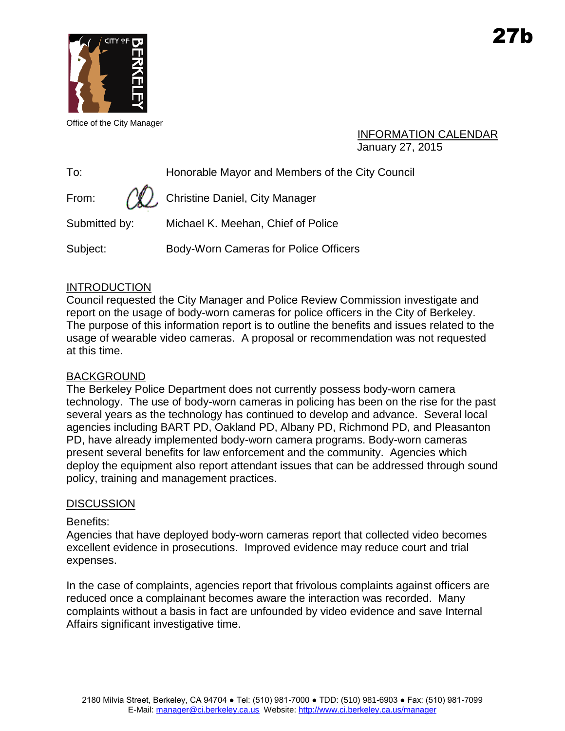

Office of the City Manager

### INFORMATION CALENDAR January 27, 2015

To: Honorable Mayor and Members of the City Council

From:  $\sqrt{N}$ , Christine Daniel, City Manager

Submitted by: Michael K. Meehan, Chief of Police

Subject: Body-Worn Cameras for Police Officers

## **INTRODUCTION**

Council requested the City Manager and Police Review Commission investigate and report on the usage of body-worn cameras for police officers in the City of Berkeley. The purpose of this information report is to outline the benefits and issues related to the usage of wearable video cameras. A proposal or recommendation was not requested at this time.

## BACKGROUND

The Berkeley Police Department does not currently possess body-worn camera technology. The use of body-worn cameras in policing has been on the rise for the past several years as the technology has continued to develop and advance. Several local agencies including BART PD, Oakland PD, Albany PD, Richmond PD, and Pleasanton PD, have already implemented body-worn camera programs. Body-worn cameras present several benefits for law enforcement and the community. Agencies which deploy the equipment also report attendant issues that can be addressed through sound policy, training and management practices.

## **DISCUSSION**

## Benefits:

Agencies that have deployed body-worn cameras report that collected video becomes excellent evidence in prosecutions. Improved evidence may reduce court and trial expenses.

In the case of complaints, agencies report that frivolous complaints against officers are reduced once a complainant becomes aware the interaction was recorded. Many complaints without a basis in fact are unfounded by video evidence and save Internal Affairs significant investigative time.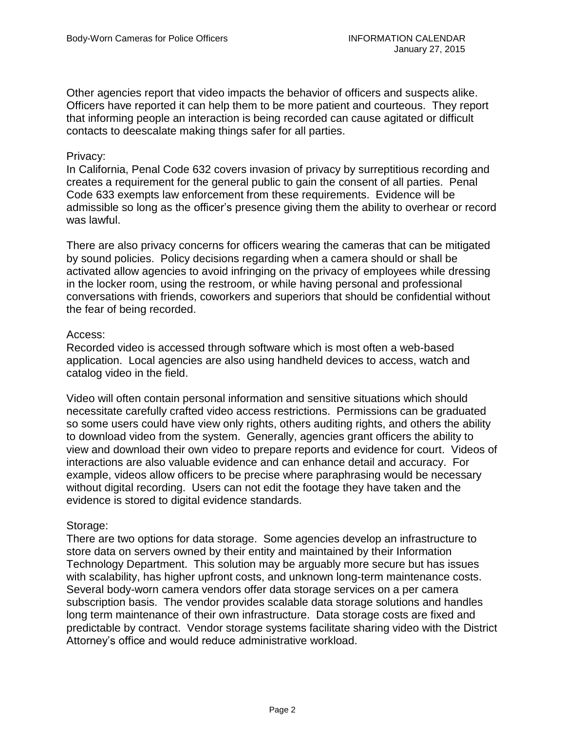Other agencies report that video impacts the behavior of officers and suspects alike. Officers have reported it can help them to be more patient and courteous. They report that informing people an interaction is being recorded can cause agitated or difficult contacts to deescalate making things safer for all parties.

#### Privacy:

In California, Penal Code 632 covers invasion of privacy by surreptitious recording and creates a requirement for the general public to gain the consent of all parties. Penal Code 633 exempts law enforcement from these requirements. Evidence will be admissible so long as the officer's presence giving them the ability to overhear or record was lawful.

There are also privacy concerns for officers wearing the cameras that can be mitigated by sound policies. Policy decisions regarding when a camera should or shall be activated allow agencies to avoid infringing on the privacy of employees while dressing in the locker room, using the restroom, or while having personal and professional conversations with friends, coworkers and superiors that should be confidential without the fear of being recorded.

#### Access:

Recorded video is accessed through software which is most often a web-based application. Local agencies are also using handheld devices to access, watch and catalog video in the field.

Video will often contain personal information and sensitive situations which should necessitate carefully crafted video access restrictions. Permissions can be graduated so some users could have view only rights, others auditing rights, and others the ability to download video from the system. Generally, agencies grant officers the ability to view and download their own video to prepare reports and evidence for court. Videos of interactions are also valuable evidence and can enhance detail and accuracy. For example, videos allow officers to be precise where paraphrasing would be necessary without digital recording. Users can not edit the footage they have taken and the evidence is stored to digital evidence standards.

#### Storage:

There are two options for data storage. Some agencies develop an infrastructure to store data on servers owned by their entity and maintained by their Information Technology Department. This solution may be arguably more secure but has issues with scalability, has higher upfront costs, and unknown long-term maintenance costs. Several body-worn camera vendors offer data storage services on a per camera subscription basis. The vendor provides scalable data storage solutions and handles long term maintenance of their own infrastructure. Data storage costs are fixed and predictable by contract. Vendor storage systems facilitate sharing video with the District Attorney's office and would reduce administrative workload.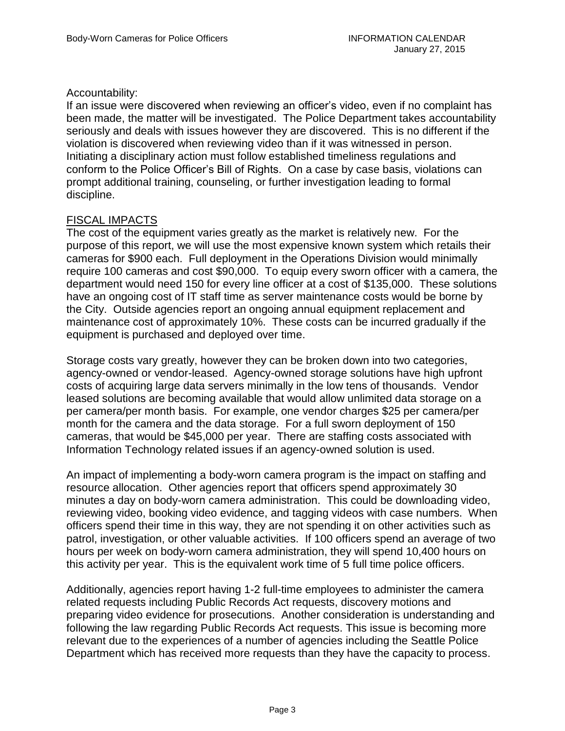### Accountability:

If an issue were discovered when reviewing an officer's video, even if no complaint has been made, the matter will be investigated. The Police Department takes accountability seriously and deals with issues however they are discovered. This is no different if the violation is discovered when reviewing video than if it was witnessed in person. Initiating a disciplinary action must follow established timeliness regulations and conform to the Police Officer's Bill of Rights. On a case by case basis, violations can prompt additional training, counseling, or further investigation leading to formal discipline.

#### FISCAL IMPACTS

The cost of the equipment varies greatly as the market is relatively new. For the purpose of this report, we will use the most expensive known system which retails their cameras for \$900 each. Full deployment in the Operations Division would minimally require 100 cameras and cost \$90,000. To equip every sworn officer with a camera, the department would need 150 for every line officer at a cost of \$135,000. These solutions have an ongoing cost of IT staff time as server maintenance costs would be borne by the City. Outside agencies report an ongoing annual equipment replacement and maintenance cost of approximately 10%. These costs can be incurred gradually if the equipment is purchased and deployed over time.

Storage costs vary greatly, however they can be broken down into two categories, agency-owned or vendor-leased. Agency-owned storage solutions have high upfront costs of acquiring large data servers minimally in the low tens of thousands. Vendor leased solutions are becoming available that would allow unlimited data storage on a per camera/per month basis. For example, one vendor charges \$25 per camera/per month for the camera and the data storage. For a full sworn deployment of 150 cameras, that would be \$45,000 per year. There are staffing costs associated with Information Technology related issues if an agency-owned solution is used.

An impact of implementing a body-worn camera program is the impact on staffing and resource allocation. Other agencies report that officers spend approximately 30 minutes a day on body-worn camera administration. This could be downloading video, reviewing video, booking video evidence, and tagging videos with case numbers. When officers spend their time in this way, they are not spending it on other activities such as patrol, investigation, or other valuable activities. If 100 officers spend an average of two hours per week on body-worn camera administration, they will spend 10,400 hours on this activity per year. This is the equivalent work time of 5 full time police officers.

Additionally, agencies report having 1-2 full-time employees to administer the camera related requests including Public Records Act requests, discovery motions and preparing video evidence for prosecutions. Another consideration is understanding and following the law regarding Public Records Act requests. This issue is becoming more relevant due to the experiences of a number of agencies including the Seattle Police Department which has received more requests than they have the capacity to process.